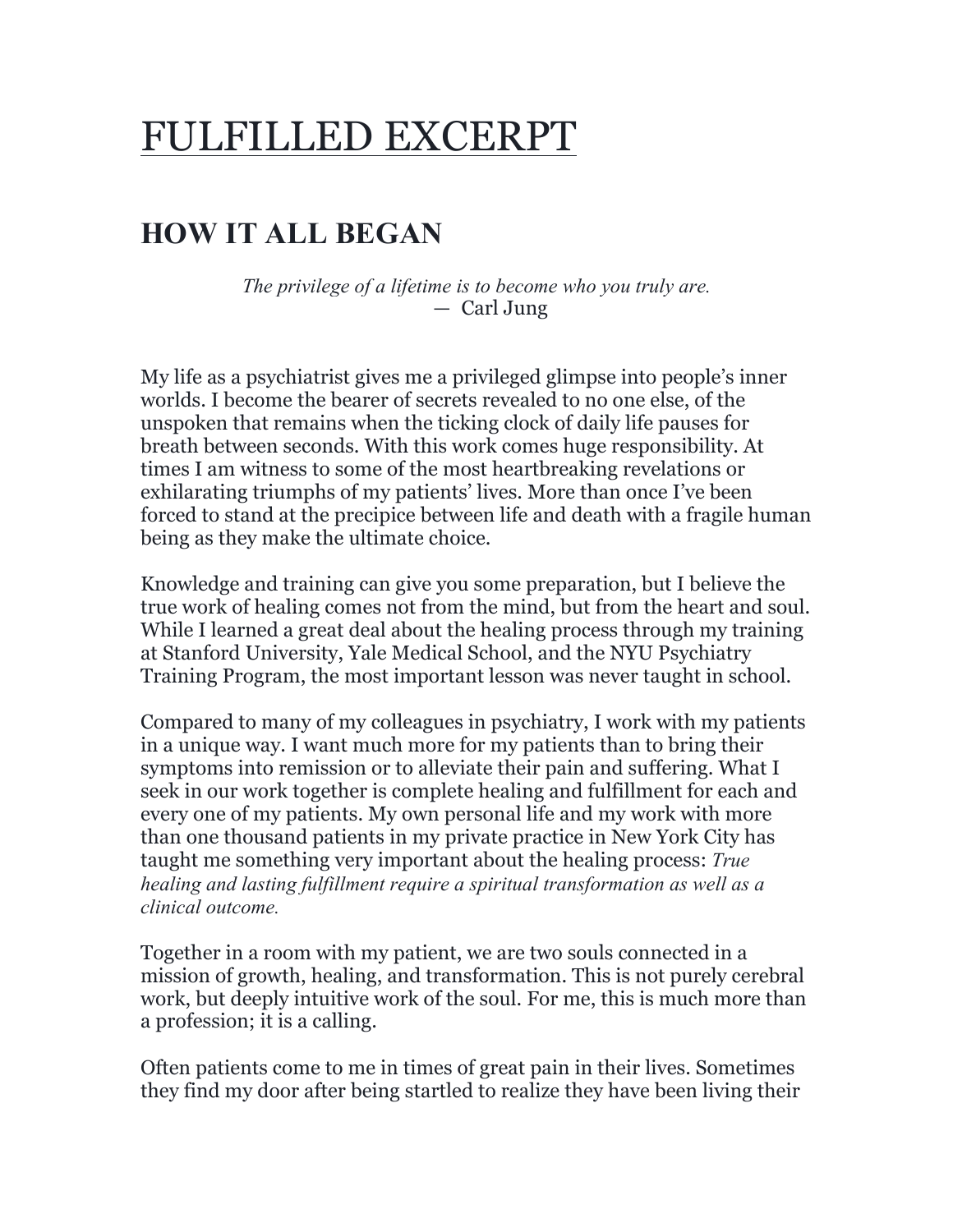# FULFILLED EXCERPT

#### **HOW IT ALL BEGAN**

*The privilege of a lifetime is to become who you truly are.* — Carl Jung

My life as a psychiatrist gives me a privileged glimpse into people's inner worlds. I become the bearer of secrets revealed to no one else, of the unspoken that remains when the ticking clock of daily life pauses for breath between seconds. With this work comes huge responsibility. At times I am witness to some of the most heartbreaking revelations or exhilarating triumphs of my patients' lives. More than once I've been forced to stand at the precipice between life and death with a fragile human being as they make the ultimate choice.

Knowledge and training can give you some preparation, but I believe the true work of healing comes not from the mind, but from the heart and soul. While I learned a great deal about the healing process through my training at Stanford University, Yale Medical School, and the NYU Psychiatry Training Program, the most important lesson was never taught in school.

Compared to many of my colleagues in psychiatry, I work with my patients in a unique way. I want much more for my patients than to bring their symptoms into remission or to alleviate their pain and suffering. What I seek in our work together is complete healing and fulfillment for each and every one of my patients. My own personal life and my work with more than one thousand patients in my private practice in New York City has taught me something very important about the healing process: *True healing and lasting fulfillment require a spiritual transformation as well as a clinical outcome.*

Together in a room with my patient, we are two souls connected in a mission of growth, healing, and transformation. This is not purely cerebral work, but deeply intuitive work of the soul. For me, this is much more than a profession; it is a calling.

Often patients come to me in times of great pain in their lives. Sometimes they find my door after being startled to realize they have been living their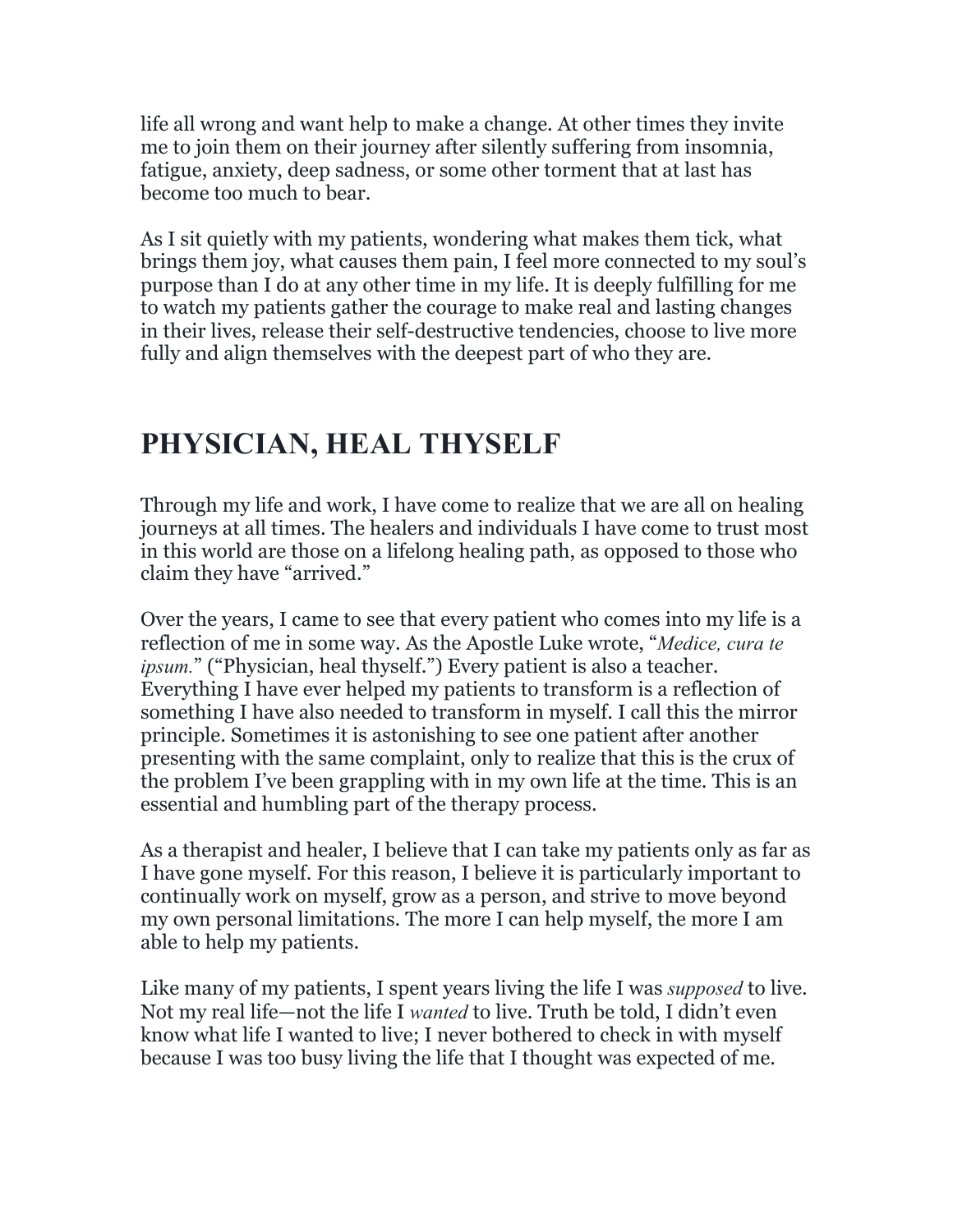life all wrong and want help to make a change. At other times they invite me to join them on their journey after silently suffering from insomnia, fatigue, anxiety, deep sadness, or some other torment that at last has become too much to bear.

As I sit quietly with my patients, wondering what makes them tick, what brings them joy, what causes them pain, I feel more connected to my soul's purpose than I do at any other time in my life. It is deeply fulfilling for me to watch my patients gather the courage to make real and lasting changes in their lives, release their self-destructive tendencies, choose to live more fully and align themselves with the deepest part of who they are.

#### **PHYSICIAN, HEAL THYSELF**

Through my life and work, I have come to realize that we are all on healing journeys at all times. The healers and individuals I have come to trust most in this world are those on a lifelong healing path, as opposed to those who claim they have "arrived."

Over the years, I came to see that every patient who comes into my life is a reflection of me in some way. As the Apostle Luke wrote, "*Medice, cura te ipsum.*" ("Physician, heal thyself.") Every patient is also a teacher. Everything I have ever helped my patients to transform is a reflection of something I have also needed to transform in myself. I call this the mirror principle. Sometimes it is astonishing to see one patient after another presenting with the same complaint, only to realize that this is the crux of the problem I've been grappling with in my own life at the time. This is an essential and humbling part of the therapy process.

As a therapist and healer, I believe that I can take my patients only as far as I have gone myself. For this reason, I believe it is particularly important to continually work on myself, grow as a person, and strive to move beyond my own personal limitations. The more I can help myself, the more I am able to help my patients.

Like many of my patients, I spent years living the life I was *supposed* to live. Not my real life—not the life I *wanted* to live. Truth be told, I didn't even know what life I wanted to live; I never bothered to check in with myself because I was too busy living the life that I thought was expected of me.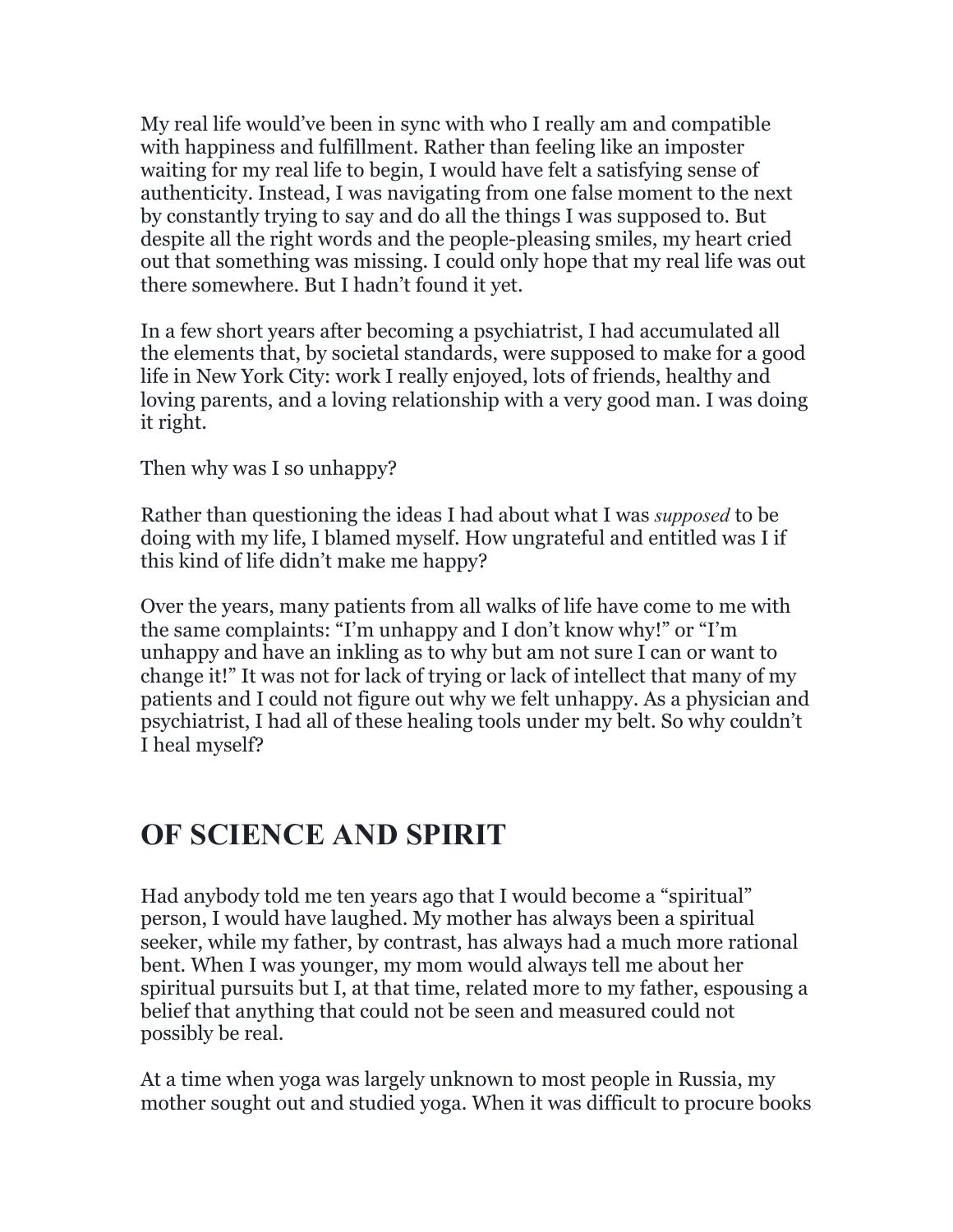My real life would've been in sync with who I really am and compatible with happiness and fulfillment. Rather than feeling like an imposter waiting for my real life to begin, I would have felt a satisfying sense of authenticity. Instead, I was navigating from one false moment to the next by constantly trying to say and do all the things I was supposed to. But despite all the right words and the people-pleasing smiles, my heart cried out that something was missing. I could only hope that my real life was out there somewhere. But I hadn't found it yet.

In a few short years after becoming a psychiatrist, I had accumulated all the elements that, by societal standards, were supposed to make for a good life in New York City: work I really enjoyed, lots of friends, healthy and loving parents, and a loving relationship with a very good man. I was doing it right.

Then why was I so unhappy?

Rather than questioning the ideas I had about what I was *supposed* to be doing with my life, I blamed myself. How ungrateful and entitled was I if this kind of life didn't make me happy?

Over the years, many patients from all walks of life have come to me with the same complaints: "I'm unhappy and I don't know why!" or "I'm unhappy and have an inkling as to why but am not sure I can or want to change it!" It was not for lack of trying or lack of intellect that many of my patients and I could not figure out why we felt unhappy. As a physician and psychiatrist, I had all of these healing tools under my belt. So why couldn't I heal myself?

## **OF SCIENCE AND SPIRIT**

Had anybody told me ten years ago that I would become a "spiritual" person, I would have laughed. My mother has always been a spiritual seeker, while my father, by contrast, has always had a much more rational bent. When I was younger, my mom would always tell me about her spiritual pursuits but I, at that time, related more to my father, espousing a belief that anything that could not be seen and measured could not possibly be real.

At a time when yoga was largely unknown to most people in Russia, my mother sought out and studied yoga. When it was difficult to procure books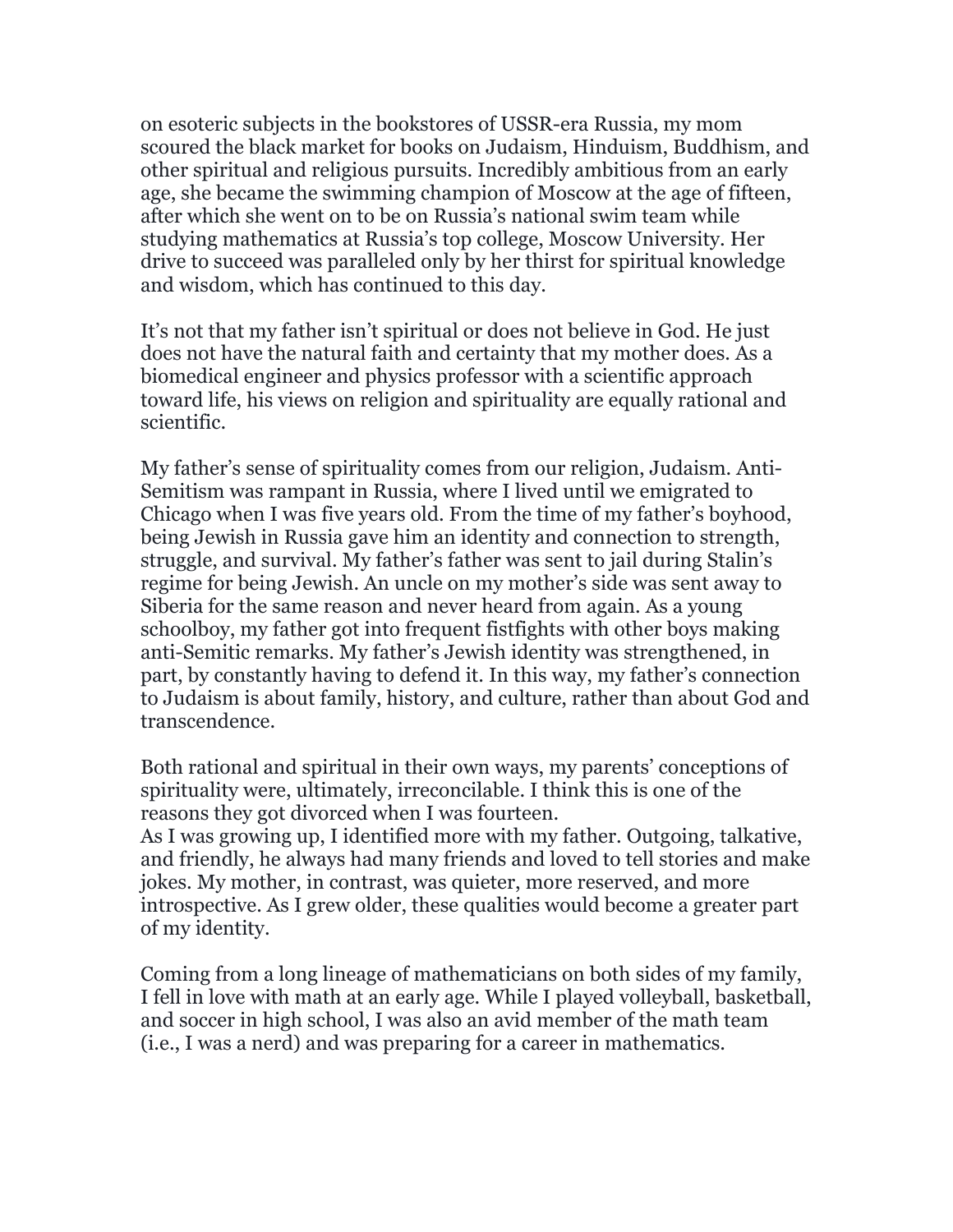on esoteric subjects in the bookstores of USSR-era Russia, my mom scoured the black market for books on Judaism, Hinduism, Buddhism, and other spiritual and religious pursuits. Incredibly ambitious from an early age, she became the swimming champion of Moscow at the age of fifteen, after which she went on to be on Russia's national swim team while studying mathematics at Russia's top college, Moscow University. Her drive to succeed was paralleled only by her thirst for spiritual knowledge and wisdom, which has continued to this day.

It's not that my father isn't spiritual or does not believe in God. He just does not have the natural faith and certainty that my mother does. As a biomedical engineer and physics professor with a scientific approach toward life, his views on religion and spirituality are equally rational and scientific.

My father's sense of spirituality comes from our religion, Judaism. Anti-Semitism was rampant in Russia, where I lived until we emigrated to Chicago when I was five years old. From the time of my father's boyhood, being Jewish in Russia gave him an identity and connection to strength, struggle, and survival. My father's father was sent to jail during Stalin's regime for being Jewish. An uncle on my mother's side was sent away to Siberia for the same reason and never heard from again. As a young schoolboy, my father got into frequent fistfights with other boys making anti-Semitic remarks. My father's Jewish identity was strengthened, in part, by constantly having to defend it. In this way, my father's connection to Judaism is about family, history, and culture, rather than about God and transcendence.

Both rational and spiritual in their own ways, my parents' conceptions of spirituality were, ultimately, irreconcilable. I think this is one of the reasons they got divorced when I was fourteen.

As I was growing up, I identified more with my father. Outgoing, talkative, and friendly, he always had many friends and loved to tell stories and make jokes. My mother, in contrast, was quieter, more reserved, and more introspective. As I grew older, these qualities would become a greater part of my identity.

Coming from a long lineage of mathematicians on both sides of my family, I fell in love with math at an early age. While I played volleyball, basketball, and soccer in high school, I was also an avid member of the math team (i.e., I was a nerd) and was preparing for a career in mathematics.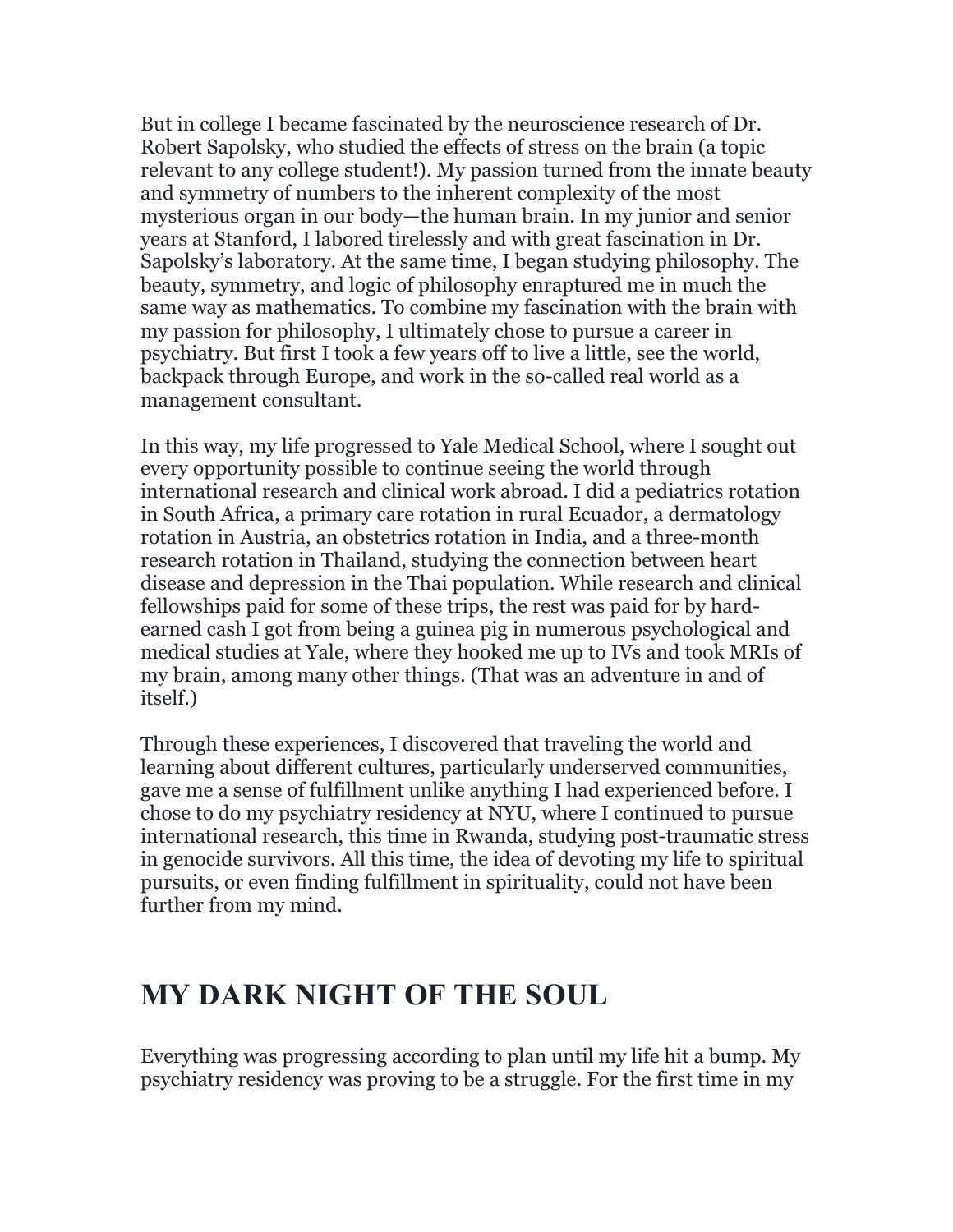But in college I became fascinated by the neuroscience research of Dr. Robert Sapolsky, who studied the effects of stress on the brain (a topic relevant to any college student!). My passion turned from the innate beauty and symmetry of numbers to the inherent complexity of the most mysterious organ in our body—the human brain. In my junior and senior years at Stanford, I labored tirelessly and with great fascination in Dr. Sapolsky's laboratory. At the same time, I began studying philosophy. The beauty, symmetry, and logic of philosophy enraptured me in much the same way as mathematics. To combine my fascination with the brain with my passion for philosophy, I ultimately chose to pursue a career in psychiatry. But first I took a few years off to live a little, see the world, backpack through Europe, and work in the so-called real world as a management consultant.

In this way, my life progressed to Yale Medical School, where I sought out every opportunity possible to continue seeing the world through international research and clinical work abroad. I did a pediatrics rotation in South Africa, a primary care rotation in rural Ecuador, a dermatology rotation in Austria, an obstetrics rotation in India, and a three-month research rotation in Thailand, studying the connection between heart disease and depression in the Thai population. While research and clinical fellowships paid for some of these trips, the rest was paid for by hardearned cash I got from being a guinea pig in numerous psychological and medical studies at Yale, where they hooked me up to IVs and took MRIs of my brain, among many other things. (That was an adventure in and of itself.)

Through these experiences, I discovered that traveling the world and learning about different cultures, particularly underserved communities, gave me a sense of fulfillment unlike anything I had experienced before. I chose to do my psychiatry residency at NYU, where I continued to pursue international research, this time in Rwanda, studying post-traumatic stress in genocide survivors. All this time, the idea of devoting my life to spiritual pursuits, or even finding fulfillment in spirituality, could not have been further from my mind.

## **MY DARK NIGHT OF THE SOUL**

Everything was progressing according to plan until my life hit a bump. My psychiatry residency was proving to be a struggle. For the first time in my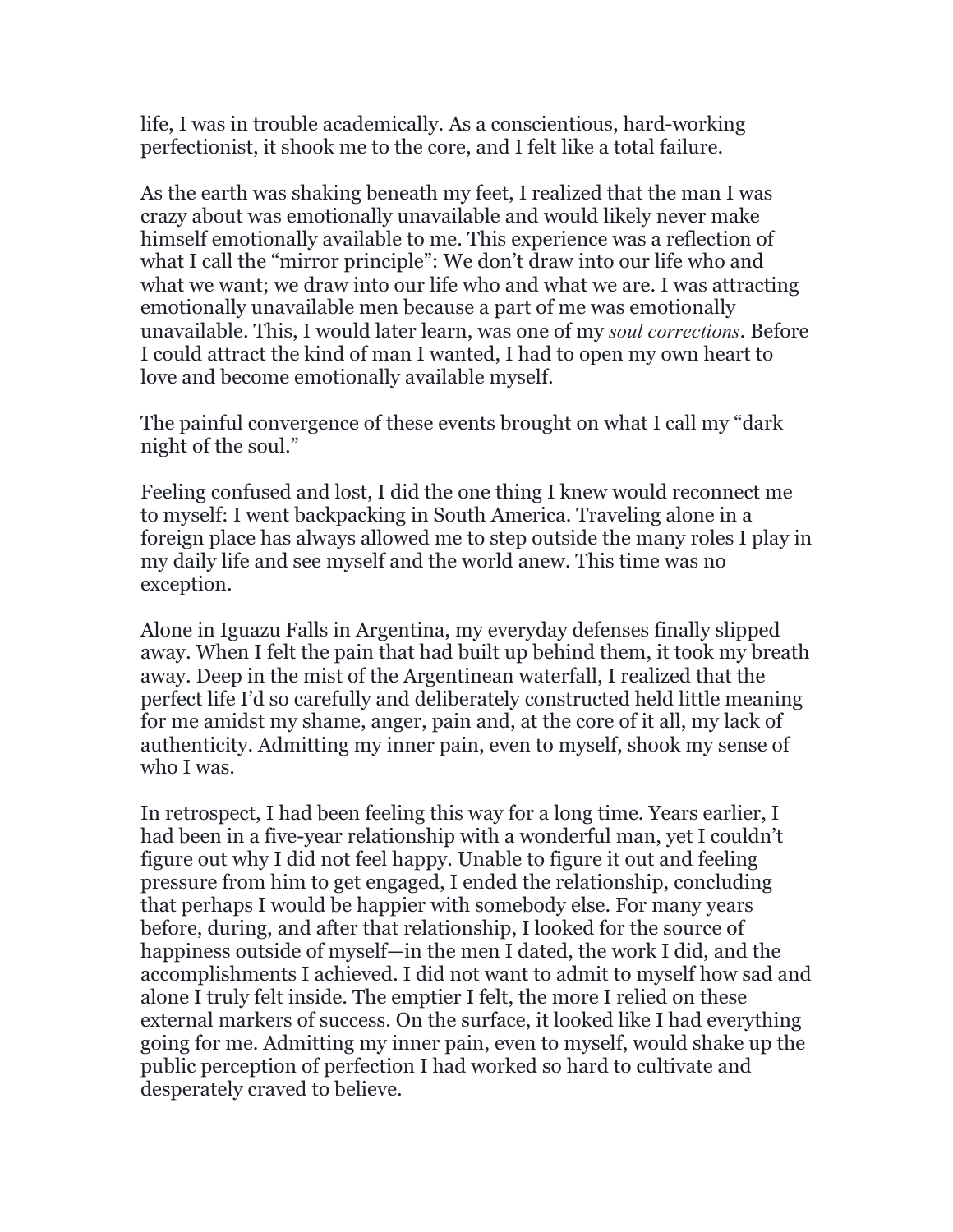life, I was in trouble academically. As a conscientious, hard-working perfectionist, it shook me to the core, and I felt like a total failure.

As the earth was shaking beneath my feet, I realized that the man I was crazy about was emotionally unavailable and would likely never make himself emotionally available to me. This experience was a reflection of what I call the "mirror principle": We don't draw into our life who and what we want; we draw into our life who and what we are. I was attracting emotionally unavailable men because a part of me was emotionally unavailable. This, I would later learn, was one of my *soul corrections*. Before I could attract the kind of man I wanted, I had to open my own heart to love and become emotionally available myself.

The painful convergence of these events brought on what I call my "dark night of the soul."

Feeling confused and lost, I did the one thing I knew would reconnect me to myself: I went backpacking in South America. Traveling alone in a foreign place has always allowed me to step outside the many roles I play in my daily life and see myself and the world anew. This time was no exception.

Alone in Iguazu Falls in Argentina, my everyday defenses finally slipped away. When I felt the pain that had built up behind them, it took my breath away. Deep in the mist of the Argentinean waterfall, I realized that the perfect life I'd so carefully and deliberately constructed held little meaning for me amidst my shame, anger, pain and, at the core of it all, my lack of authenticity. Admitting my inner pain, even to myself, shook my sense of who I was.

In retrospect, I had been feeling this way for a long time. Years earlier, I had been in a five-year relationship with a wonderful man, yet I couldn't figure out why I did not feel happy. Unable to figure it out and feeling pressure from him to get engaged, I ended the relationship, concluding that perhaps I would be happier with somebody else. For many years before, during, and after that relationship, I looked for the source of happiness outside of myself—in the men I dated, the work I did, and the accomplishments I achieved. I did not want to admit to myself how sad and alone I truly felt inside. The emptier I felt, the more I relied on these external markers of success. On the surface, it looked like I had everything going for me. Admitting my inner pain, even to myself, would shake up the public perception of perfection I had worked so hard to cultivate and desperately craved to believe.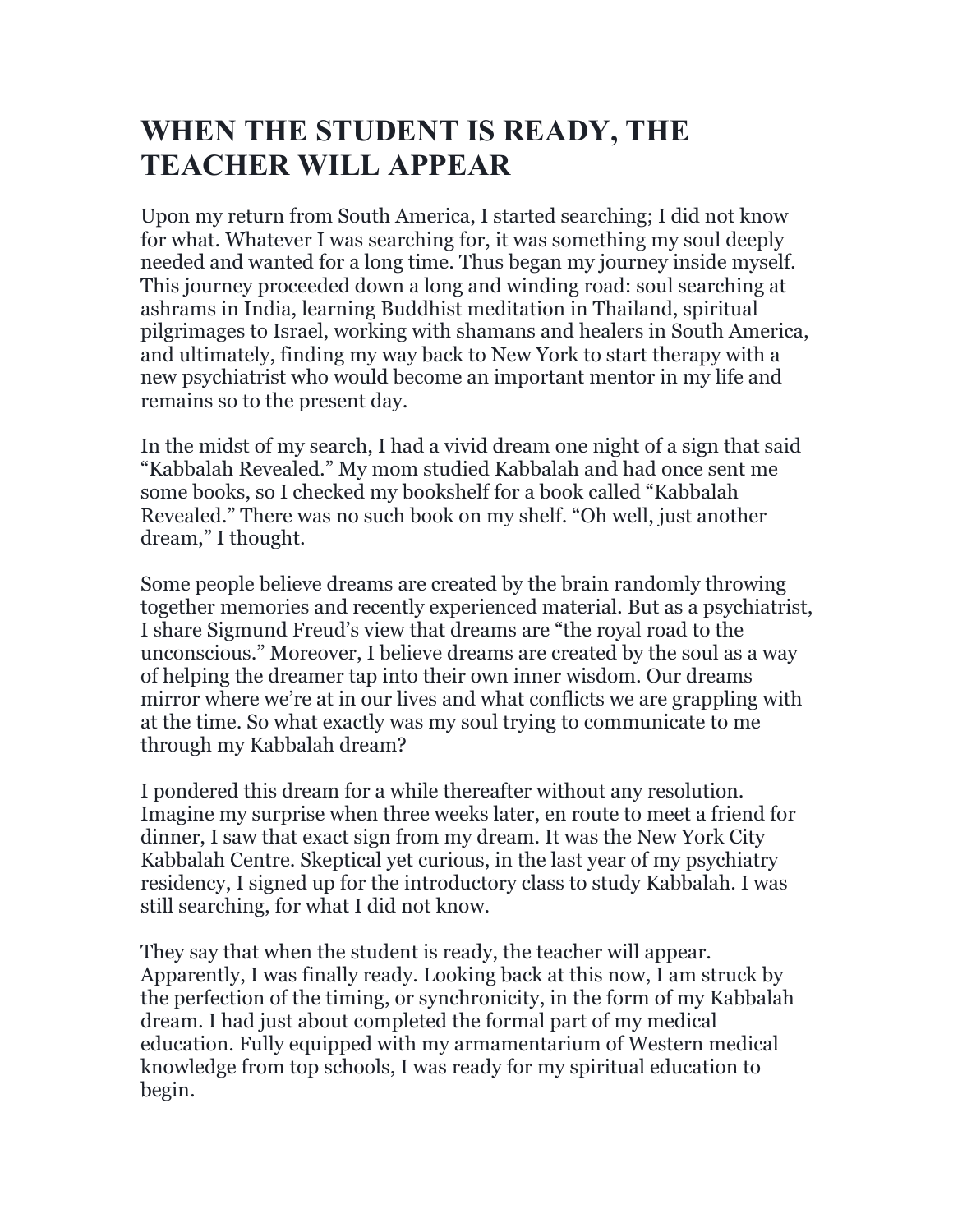## **WHEN THE STUDENT IS READY, THE TEACHER WILL APPEAR**

Upon my return from South America, I started searching; I did not know for what. Whatever I was searching for, it was something my soul deeply needed and wanted for a long time. Thus began my journey inside myself. This journey proceeded down a long and winding road: soul searching at ashrams in India, learning Buddhist meditation in Thailand, spiritual pilgrimages to Israel, working with shamans and healers in South America, and ultimately, finding my way back to New York to start therapy with a new psychiatrist who would become an important mentor in my life and remains so to the present day.

In the midst of my search, I had a vivid dream one night of a sign that said "Kabbalah Revealed." My mom studied Kabbalah and had once sent me some books, so I checked my bookshelf for a book called "Kabbalah Revealed." There was no such book on my shelf. "Oh well, just another dream," I thought.

Some people believe dreams are created by the brain randomly throwing together memories and recently experienced material. But as a psychiatrist, I share Sigmund Freud's view that dreams are "the royal road to the unconscious." Moreover, I believe dreams are created by the soul as a way of helping the dreamer tap into their own inner wisdom. Our dreams mirror where we're at in our lives and what conflicts we are grappling with at the time. So what exactly was my soul trying to communicate to me through my Kabbalah dream?

I pondered this dream for a while thereafter without any resolution. Imagine my surprise when three weeks later, en route to meet a friend for dinner, I saw that exact sign from my dream. It was the New York City Kabbalah Centre. Skeptical yet curious, in the last year of my psychiatry residency, I signed up for the introductory class to study Kabbalah. I was still searching, for what I did not know.

They say that when the student is ready, the teacher will appear. Apparently, I was finally ready. Looking back at this now, I am struck by the perfection of the timing, or synchronicity, in the form of my Kabbalah dream. I had just about completed the formal part of my medical education. Fully equipped with my armamentarium of Western medical knowledge from top schools, I was ready for my spiritual education to begin.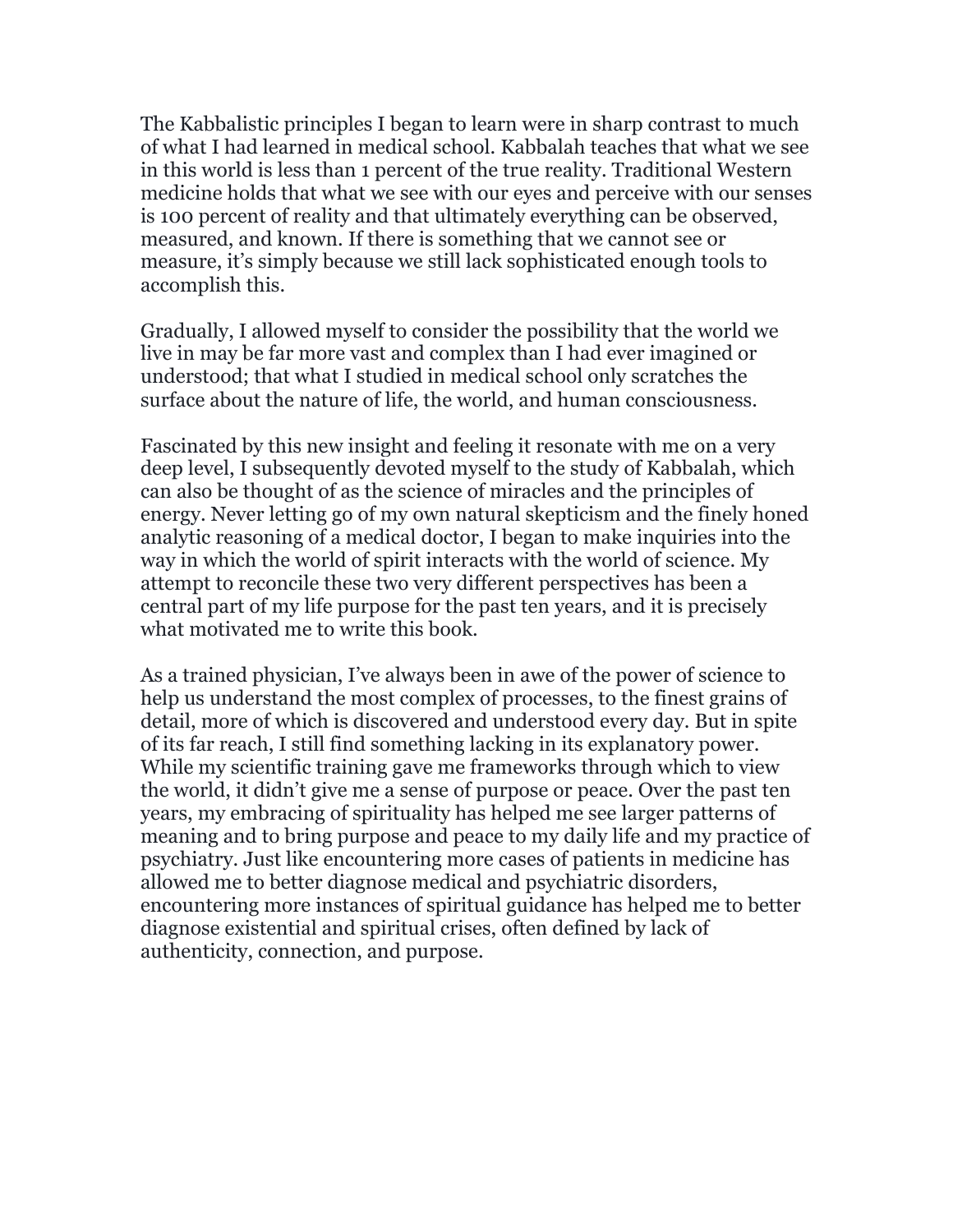The Kabbalistic principles I began to learn were in sharp contrast to much of what I had learned in medical school. Kabbalah teaches that what we see in this world is less than 1 percent of the true reality. Traditional Western medicine holds that what we see with our eyes and perceive with our senses is 100 percent of reality and that ultimately everything can be observed, measured, and known. If there is something that we cannot see or measure, it's simply because we still lack sophisticated enough tools to accomplish this.

Gradually, I allowed myself to consider the possibility that the world we live in may be far more vast and complex than I had ever imagined or understood; that what I studied in medical school only scratches the surface about the nature of life, the world, and human consciousness.

Fascinated by this new insight and feeling it resonate with me on a very deep level, I subsequently devoted myself to the study of Kabbalah, which can also be thought of as the science of miracles and the principles of energy. Never letting go of my own natural skepticism and the finely honed analytic reasoning of a medical doctor, I began to make inquiries into the way in which the world of spirit interacts with the world of science. My attempt to reconcile these two very different perspectives has been a central part of my life purpose for the past ten years, and it is precisely what motivated me to write this book.

As a trained physician, I've always been in awe of the power of science to help us understand the most complex of processes, to the finest grains of detail, more of which is discovered and understood every day. But in spite of its far reach, I still find something lacking in its explanatory power. While my scientific training gave me frameworks through which to view the world, it didn't give me a sense of purpose or peace. Over the past ten years, my embracing of spirituality has helped me see larger patterns of meaning and to bring purpose and peace to my daily life and my practice of psychiatry. Just like encountering more cases of patients in medicine has allowed me to better diagnose medical and psychiatric disorders, encountering more instances of spiritual guidance has helped me to better diagnose existential and spiritual crises, often defined by lack of authenticity, connection, and purpose.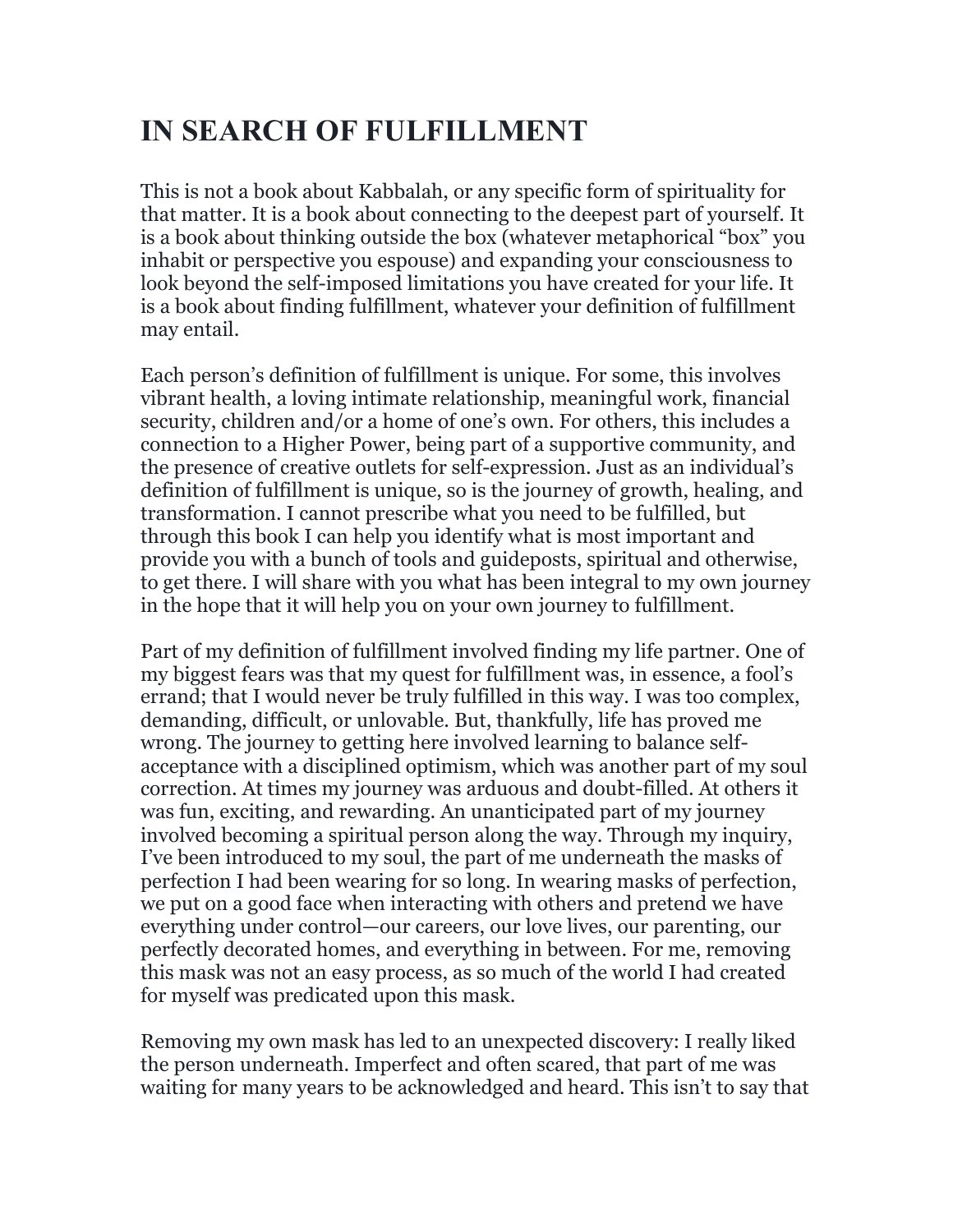# **IN SEARCH OF FULFILLMENT**

This is not a book about Kabbalah, or any specific form of spirituality for that matter. It is a book about connecting to the deepest part of yourself. It is a book about thinking outside the box (whatever metaphorical "box" you inhabit or perspective you espouse) and expanding your consciousness to look beyond the self-imposed limitations you have created for your life. It is a book about finding fulfillment, whatever your definition of fulfillment may entail.

Each person's definition of fulfillment is unique. For some, this involves vibrant health, a loving intimate relationship, meaningful work, financial security, children and/or a home of one's own. For others, this includes a connection to a Higher Power, being part of a supportive community, and the presence of creative outlets for self-expression. Just as an individual's definition of fulfillment is unique, so is the journey of growth, healing, and transformation. I cannot prescribe what you need to be fulfilled, but through this book I can help you identify what is most important and provide you with a bunch of tools and guideposts, spiritual and otherwise, to get there. I will share with you what has been integral to my own journey in the hope that it will help you on your own journey to fulfillment.

Part of my definition of fulfillment involved finding my life partner. One of my biggest fears was that my quest for fulfillment was, in essence, a fool's errand; that I would never be truly fulfilled in this way. I was too complex, demanding, difficult, or unlovable. But, thankfully, life has proved me wrong. The journey to getting here involved learning to balance selfacceptance with a disciplined optimism, which was another part of my soul correction. At times my journey was arduous and doubt-filled. At others it was fun, exciting, and rewarding. An unanticipated part of my journey involved becoming a spiritual person along the way. Through my inquiry, I've been introduced to my soul, the part of me underneath the masks of perfection I had been wearing for so long. In wearing masks of perfection, we put on a good face when interacting with others and pretend we have everything under control—our careers, our love lives, our parenting, our perfectly decorated homes, and everything in between. For me, removing this mask was not an easy process, as so much of the world I had created for myself was predicated upon this mask.

Removing my own mask has led to an unexpected discovery: I really liked the person underneath. Imperfect and often scared, that part of me was waiting for many years to be acknowledged and heard. This isn't to say that